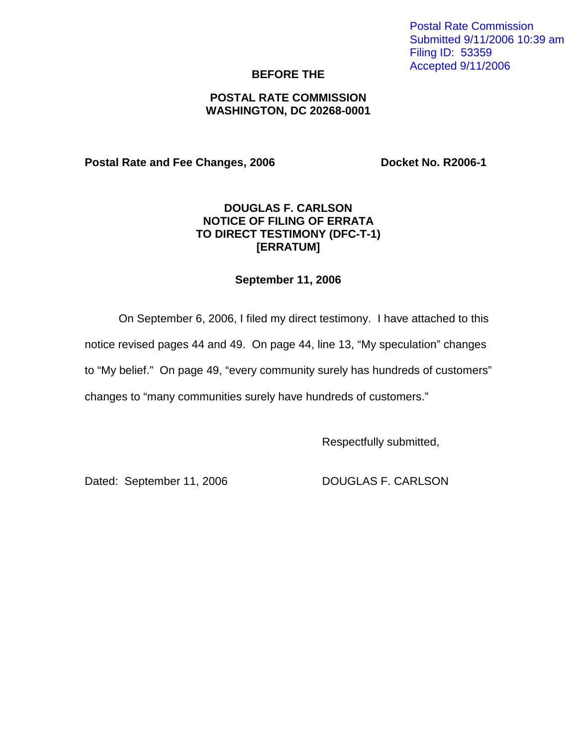Postal Rate Commission Submitted 9/11/2006 10:39 am Filing ID: 53359 Accepted 9/11/2006

### **BEFORE THE**

### **POSTAL RATE COMMISSION WASHINGTON, DC 20268-0001**

**Postal Rate and Fee Changes, 2006 Docket No. R2006-1** 

# **DOUGLAS F. CARLSON NOTICE OF FILING OF ERRATA TO DIRECT TESTIMONY (DFC-T-1) [ERRATUM]**

### **September 11, 2006**

On September 6, 2006, I filed my direct testimony. I have attached to this

notice revised pages 44 and 49. On page 44, line 13, "My speculation" changes

to "My belief." On page 49, "every community surely has hundreds of customers"

changes to "many communities surely have hundreds of customers."

Respectfully submitted,

Dated: September 11, 2006 DOUGLAS F. CARLSON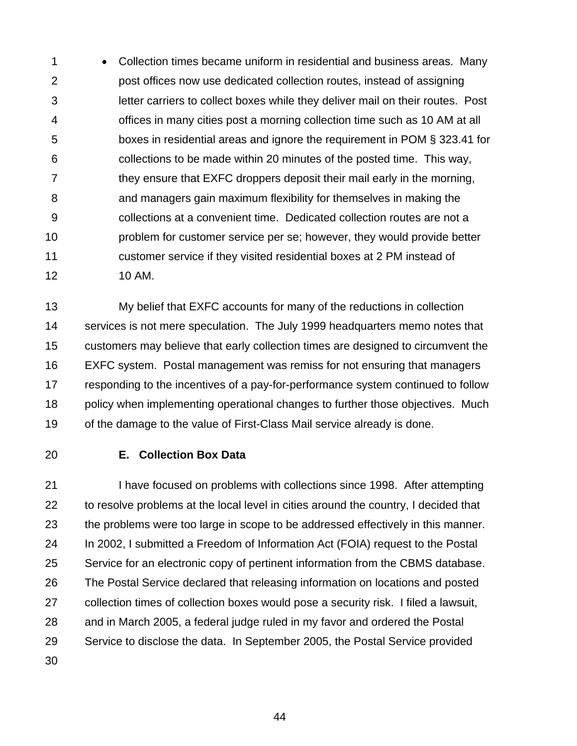1 • Collection times became uniform in residential and business areas. Many 2 post offices now use dedicated collection routes, instead of assigning 3 letter carriers to collect boxes while they deliver mail on their routes. Post 4 offices in many cities post a morning collection time such as 10 AM at all 5 boxes in residential areas and ignore the requirement in POM § 323.41 for 6 collections to be made within 20 minutes of the posted time. This way, 7 they ensure that EXFC droppers deposit their mail early in the morning, 8 and managers gain maximum flexibility for themselves in making the 9 collections at a convenient time. Dedicated collection routes are not a 10 problem for customer service per se; however, they would provide better 11 customer service if they visited residential boxes at 2 PM instead of 12 10 AM.

13 My belief that EXFC accounts for many of the reductions in collection 14 services is not mere speculation. The July 1999 headquarters memo notes that 15 customers may believe that early collection times are designed to circumvent the 16 EXFC system. Postal management was remiss for not ensuring that managers 17 responding to the incentives of a pay-for-performance system continued to follow 18 policy when implementing operational changes to further those objectives. Much 19 of the damage to the value of First-Class Mail service already is done.

## 20 **E. Collection Box Data**

21 I have focused on problems with collections since 1998. After attempting 22 to resolve problems at the local level in cities around the country, I decided that 23 the problems were too large in scope to be addressed effectively in this manner. 24 In 2002, I submitted a Freedom of Information Act (FOIA) request to the Postal 25 Service for an electronic copy of pertinent information from the CBMS database. 26 The Postal Service declared that releasing information on locations and posted 27 collection times of collection boxes would pose a security risk. I filed a lawsuit, 28 and in March 2005, a federal judge ruled in my favor and ordered the Postal 29 Service to disclose the data. In September 2005, the Postal Service provided

30

44